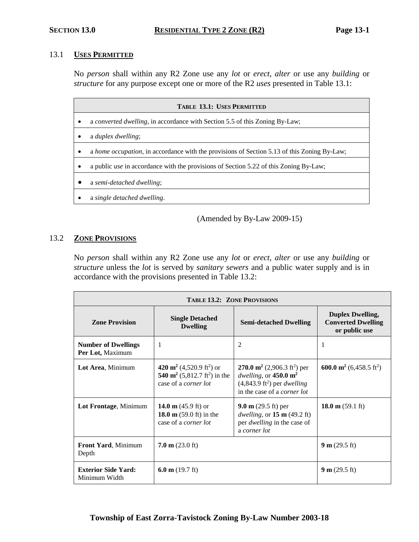#### 13.1 **USES PERMITTED**

No *person* shall within any R2 Zone use any *lot* or *erect, alter* or use any *building* or *structure* for any purpose except one or more of the R2 *uses* presented in Table 13.1:

| <b>TABLE 13.1: USES PERMITTED</b>                                                            |  |  |  |
|----------------------------------------------------------------------------------------------|--|--|--|
| a converted dwelling, in accordance with Section 5.5 of this Zoning By-Law;                  |  |  |  |
| a <i>duplex dwelling</i> ;                                                                   |  |  |  |
| a home occupation, in accordance with the provisions of Section 5.13 of this Zoning By-Law;  |  |  |  |
| a public <i>use</i> in accordance with the provisions of Section 5.22 of this Zoning By-Law; |  |  |  |
| a semi-detached dwelling;                                                                    |  |  |  |
| a single detached dwelling.                                                                  |  |  |  |
|                                                                                              |  |  |  |

(Amended by By-Law 2009-15)

#### 13.2 **ZONE PROVISIONS**

No *person* shall within any R2 Zone use any *lot* or *erect, alter* or use any *building* or *structure* unless the *lot* is served by *sanitary sewers* and a public water supply and is in accordance with the provisions presented in Table 13.2:

| <b>TABLE 13.2: ZONE PROVISIONS</b>             |                                                                                                                                         |                                                                                                                                                                               |                                                                       |
|------------------------------------------------|-----------------------------------------------------------------------------------------------------------------------------------------|-------------------------------------------------------------------------------------------------------------------------------------------------------------------------------|-----------------------------------------------------------------------|
| <b>Zone Provision</b>                          | <b>Single Detached</b><br><b>Dwelling</b>                                                                                               | <b>Semi-detached Dwelling</b>                                                                                                                                                 | <b>Duplex Dwelling,</b><br><b>Converted Dwelling</b><br>or public use |
| <b>Number of Dwellings</b><br>Per Lot, Maximum | 1                                                                                                                                       | 2                                                                                                                                                                             | 1                                                                     |
| Lot Area, Minimum                              | 420 m <sup>2</sup> (4,520.9 ft <sup>2</sup> ) or<br>540 m <sup>2</sup> (5,812.7 ft <sup>2</sup> ) in the<br>case of a <i>corner lot</i> | 270.0 m <sup>2</sup> (2,906.3 ft <sup>2</sup> ) per<br>dwelling, or $450.0 \text{ m}^2$<br>$(4,843.9 \text{ ft}^2)$ per <i>dwelling</i><br>in the case of a <i>corner lot</i> | 600.0 m <sup>2</sup> (6,458.5 ft <sup>2</sup> )                       |
| Lot Frontage, Minimum                          | 14.0 m $(45.9 \text{ ft})$ or<br>18.0 m $(59.0 \text{ ft})$ in the<br>case of a <i>corner lot</i>                                       | 9.0 m $(29.5 \text{ ft})$ per<br>dwelling, or $15 \text{ m}$ (49.2 ft)<br>per <i>dwelling</i> in the case of<br>a corner lot                                                  | 18.0 m $(59.1 \text{ ft})$                                            |
| <b>Front Yard, Minimum</b><br>Depth            | $7.0 \text{ m}$ (23.0 ft)                                                                                                               |                                                                                                                                                                               | 9 m $(29.5 \text{ ft})$                                               |
| <b>Exterior Side Yard:</b><br>Minimum Width    | 6.0 m $(19.7 \text{ ft})$                                                                                                               |                                                                                                                                                                               | 9 m $(29.5 \text{ ft})$                                               |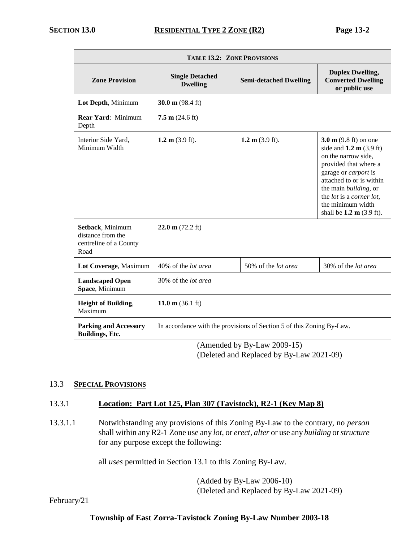| <b>TABLE 13.2: ZONE PROVISIONS</b>                                      |                                                                       |                               |                                                                                                                                                                                                                                                                                                                |
|-------------------------------------------------------------------------|-----------------------------------------------------------------------|-------------------------------|----------------------------------------------------------------------------------------------------------------------------------------------------------------------------------------------------------------------------------------------------------------------------------------------------------------|
| <b>Zone Provision</b>                                                   | <b>Single Detached</b><br><b>Dwelling</b>                             | <b>Semi-detached Dwelling</b> | <b>Duplex Dwelling,</b><br><b>Converted Dwelling</b><br>or public use                                                                                                                                                                                                                                          |
| Lot Depth, Minimum                                                      | 30.0 m $(98.4 \text{ ft})$                                            |                               |                                                                                                                                                                                                                                                                                                                |
| <b>Rear Yard: Minimum</b><br>Depth                                      | $7.5 \text{ m}$ (24.6 ft)                                             |                               |                                                                                                                                                                                                                                                                                                                |
| Interior Side Yard,<br>Minimum Width                                    | 1.2 m $(3.9 \text{ ft})$ .                                            | 1.2 m $(3.9 \text{ ft})$ .    | 3.0 $m$ (9.8 ft) on one<br>side and $1.2 \text{ m}$ (3.9 ft)<br>on the narrow side,<br>provided that where a<br>garage or <i>carport</i> is<br>attached to or is within<br>the main building, or<br>the <i>lot</i> is a <i>corner lot</i> ,<br>the minimum width<br>shall be $1.2 \text{ m} (3.9 \text{ ft}).$ |
| Setback, Minimum<br>distance from the<br>centreline of a County<br>Road | $22.0 \text{ m}$ (72.2 ft)                                            |                               |                                                                                                                                                                                                                                                                                                                |
| Lot Coverage, Maximum                                                   | 40% of the lot area                                                   | 50% of the lot area           | 30% of the lot area                                                                                                                                                                                                                                                                                            |
| <b>Landscaped Open</b><br>Space, Minimum                                | 30% of the <i>lot area</i>                                            |                               |                                                                                                                                                                                                                                                                                                                |
| <b>Height of Building,</b><br>Maximum                                   | 11.0 m $(36.1 \text{ ft})$                                            |                               |                                                                                                                                                                                                                                                                                                                |
| <b>Parking and Accessory</b><br><b>Buildings</b> , Etc.                 | In accordance with the provisions of Section 5 of this Zoning By-Law. |                               |                                                                                                                                                                                                                                                                                                                |

(Amended by By-Law 2009-15) (Deleted and Replaced by By-Law 2021-09)

## 13.3 **SPECIAL PROVISIONS**

#### 13.3.1 **Location: Part Lot 125, Plan 307 (Tavistock), R2-1 (Key Map 8)**

13.3.1.1 Notwithstanding any provisions of this Zoning By-Law to the contrary, no *person* shall within any R2-1 Zone use any *lot*, or *erect, alter* or use any *building* or *structure* for any purpose except the following:

all *uses* permitted in Section 13.1 to this Zoning By-Law.

(Added by By-Law 2006-10) (Deleted and Replaced by By-Law 2021-09)

February/21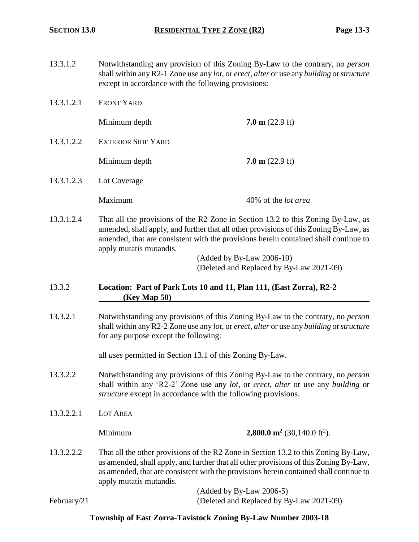- 13.3.1.2 Notwithstanding any provision of this Zoning By-Law to the contrary, no *person* shall within any R2-1 Zone use any *lot*, or *erect, alter* or use any *building* or *structure* except in accordance with the following provisions:
- 13.3.1.2.1 FRONT YARD

Minimum depth **7.0 m** (22.9 ft)

13.3.1.2.2 EXTERIOR SIDE YARD

Minimum depth **7.0 m** (22.9 ft)

13.3.1.2.3 Lot Coverage

Maximum 40% of the *lot area*

13.3.1.2.4 That all the provisions of the R2 Zone in Section 13.2 to this Zoning By-Law, as amended, shall apply, and further that all other provisions of this Zoning By-Law, as amended, that are consistent with the provisions herein contained shall continue to apply mutatis mutandis.

> (Added by By-Law 2006-10) (Deleted and Replaced by By-Law 2021-09)

- 13.3.2 **Location: Part of Park Lots 10 and 11, Plan 111, (East Zorra), R2-2 (Key Map 50)**
- 13.3.2.1 Notwithstanding any provisions of this Zoning By-Law to the contrary, no *person* shall within any R2-2 Zone use any *lot*, or *erect, alter* or use any *building* or *structure* for any purpose except the following:

all *uses* permitted in Section 13.1 of this Zoning By-Law.

- 13.3.2.2 Notwithstanding any provisions of this Zoning By-Law to the contrary, no *person* shall within any 'R2-2' Zone use any *lot*, or *erect, alter* or use any *building* or *structure* except in accordance with the following provisions.
- 13.3.2.2.1 LOT AREA

February/21

**Minimum 2,800.0 m<sup>2</sup> (30,140.0 ft<sup>2</sup>).** 

13.3.2.2.2 That all the other provisions of the R2 Zone in Section 13.2 to this Zoning By-Law, as amended, shall apply, and further that all other provisions of this Zoning By-Law, as amended, that are consistent with the provisions herein contained shall continue to apply mutatis mutandis.

| $($ Added by By-Law 2006-5 $)$           |
|------------------------------------------|
| (Deleted and Replaced by By-Law 2021-09) |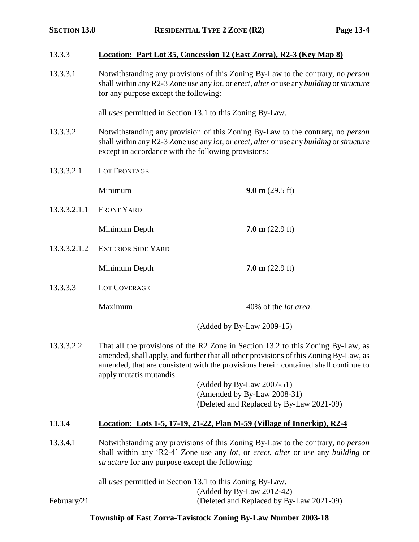#### 13.3.3 **Location: Part Lot 35, Concession 12 (East Zorra), R2-3 (Key Map 8)**

13.3.3.1 Notwithstanding any provisions of this Zoning By-Law to the contrary, no *person* shall within any R2-3 Zone use any *lot*, or *erect, alter* or use any *building* or *structure* for any purpose except the following:

all *uses* permitted in Section 13.1 to this Zoning By-Law.

- 13.3.3.2 Notwithstanding any provision of this Zoning By-Law to the contrary, no *person* shall within any R2-3 Zone use any *lot*, or *erect, alter* or use any *building* or *structure* except in accordance with the following provisions:
- 13.3.3.2.1 LOT FRONTAGE

Minimum **9.0 m** (29.5 ft) 13.3.3.2.1.1 FRONT YARD Minimum Depth **7.0 m** (22.9 ft) 13.3.3.2.1.2 EXTERIOR SIDE YARD Minimum Depth **7.0 m** (22.9 ft)

13.3.3.3 LOT COVERAGE

Maximum 40% of the *lot area*.

(Added by By-Law 2009-15)

13.3.3.2.2 That all the provisions of the R2 Zone in Section 13.2 to this Zoning By-Law, as amended, shall apply, and further that all other provisions of this Zoning By-Law, as amended, that are consistent with the provisions herein contained shall continue to apply mutatis mutandis.

> (Added by By-Law 2007-51) (Amended by By-Law 2008-31) (Deleted and Replaced by By-Law 2021-09)

## 13.3.4 **Location: Lots 1-5, 17-19, 21-22, Plan M-59 (Village of Innerkip), R2-4**

13.3.4.1 Notwithstanding any provisions of this Zoning By-Law to the contrary, no *person* shall within any 'R2-4' Zone use any *lot*, or *erect*, *alter* or use any *building* or *structure* for any purpose except the following:

all *uses* permitted in Section 13.1 to this Zoning By-Law. (Added by By-Law 2012-42) February/21 (Deleted and Replaced by By-Law 2021-09)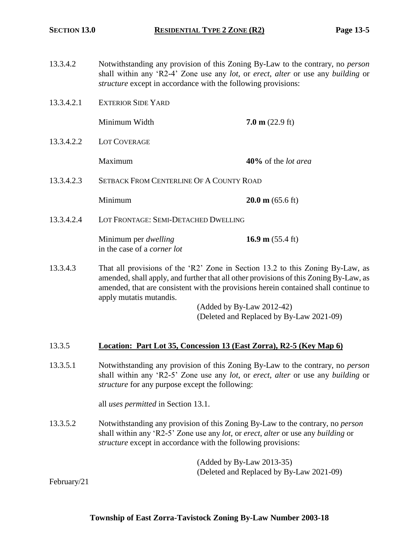- 13.3.4.2 Notwithstanding any provision of this Zoning By-Law to the contrary, no *person* shall within any 'R2-4' Zone use any *lot*, or *erect*, *alter* or use any *building* or *structure* except in accordance with the following provisions:
- 13.3.4.2.1 EXTERIOR SIDE YARD

Minimum Width **7.0 m** (22.9 ft)

13.3.4.2.2 LOT COVERAGE

Maximum **40%** of the *lot area*

13.3.4.2.3 SETBACK FROM CENTERLINE OF A COUNTY ROAD

Minimum **20.0 m** (65.6 ft)

13.3.4.2.4 LOT FRONTAGE: SEMI-DETACHED DWELLING

Minimum per *dwelling* **16.9 m** (55.4 ft) in the case of a *corner lot*

13.3.4.3 That all provisions of the 'R2' Zone in Section 13.2 to this Zoning By-Law, as amended, shall apply, and further that all other provisions of this Zoning By-Law, as amended, that are consistent with the provisions herein contained shall continue to apply mutatis mutandis.

> (Added by By-Law 2012-42) (Deleted and Replaced by By-Law 2021-09)

#### 13.3.5 **Location: Part Lot 35, Concession 13 (East Zorra), R2-5 (Key Map 6)**

13.3.5.1 Notwithstanding any provision of this Zoning By-Law to the contrary, no *person* shall within any 'R2-5' Zone use any *lot*, or *erect*, *alter* or use any *building* or *structure* for any purpose except the following:

all *uses permitted* in Section 13.1.

13.3.5.2 Notwithstanding any provision of this Zoning By-Law to the contrary, no *person* shall within any 'R2-5' Zone use any *lot*, or *erect*, *alter* or use any *building* or *structure* except in accordance with the following provisions:

> (Added by By-Law 2013-35) (Deleted and Replaced by By-Law 2021-09)

February/21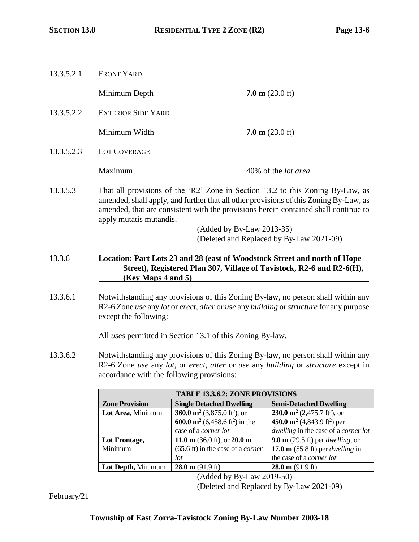| 13.3.5.2.1 | <b>FRONT YARD</b>         |                                                                                                                                                                                                                                                                |  |
|------------|---------------------------|----------------------------------------------------------------------------------------------------------------------------------------------------------------------------------------------------------------------------------------------------------------|--|
|            | Minimum Depth             | $7.0 \text{ m}$ (23.0 ft)                                                                                                                                                                                                                                      |  |
| 13.3.5.2.2 | <b>EXTERIOR SIDE YARD</b> |                                                                                                                                                                                                                                                                |  |
|            | Minimum Width             | $7.0 \text{ m}$ (23.0 ft)                                                                                                                                                                                                                                      |  |
| 13.3.5.2.3 | <b>LOT COVERAGE</b>       |                                                                                                                                                                                                                                                                |  |
|            | Maximum                   | 40% of the <i>lot area</i>                                                                                                                                                                                                                                     |  |
| 13.3.5.3   | apply mutatis mutandis.   | That all provisions of the 'R2' Zone in Section 13.2 to this Zoning By-Law, as<br>amended, shall apply, and further that all other provisions of this Zoning By-Law, as<br>amended, that are consistent with the provisions herein contained shall continue to |  |
|            | (Added by By-Law 2013-35) |                                                                                                                                                                                                                                                                |  |
|            |                           | (Deleted and Replaced by By-Law 2021-09)                                                                                                                                                                                                                       |  |
| 13.3.6     | (Key Maps 4 and 5)        | Location: Part Lots 23 and 28 (east of Woodstock Street and north of Hope<br>Street), Registered Plan 307, Village of Tavistock, R2-6 and R2-6(H),                                                                                                             |  |
|            |                           |                                                                                                                                                                                                                                                                |  |

13.3.6.1 Notwithstanding any provisions of this Zoning By-law, no person shall within any R2-6 Zone *use* any *lot* or *erect*, *alter* or *use* any *building* or *structure* for any purpose except the following:

All *uses* permitted in Section 13.1 of this Zoning By-law.

13.3.6.2 Notwithstanding any provisions of this Zoning By-law, no person shall within any R2-6 Zone *use* any *lot*, or *erect*, *alter* or *use* any *building* or *structure* except in accordance with the following provisions:

| <b>TABLE 13.3.6.2: ZONE PROVISIONS</b>     |                                                        |                                                     |  |
|--------------------------------------------|--------------------------------------------------------|-----------------------------------------------------|--|
| <b>Zone Provision</b>                      | <b>Single Detached Dwelling</b>                        | <b>Semi-Detached Dwelling</b>                       |  |
| Lot Area, Minimum                          | 360.0 m <sup>2</sup> (3,875.0 ft <sup>2</sup> ), or    | 230.0 $\mathbf{m}^2$ (2,475.7 ft <sup>2</sup> ), or |  |
|                                            | 600.0 m <sup>2</sup> (6,458.6 ft <sup>2</sup> ) in the | 450.0 $m2$ (4,843.9 ft <sup>2</sup> ) per           |  |
|                                            | case of a corner lot                                   | dwelling in the case of a corner lot                |  |
| Lot Frontage,                              | 11.0 m $(36.0 \text{ ft})$ , or 20.0 m                 | 9.0 m (29.5 ft) per <i>dwelling</i> , or            |  |
| Minimum                                    | $(65.6 \text{ ft})$ in the case of a <i>corner</i>     | 17.0 m $(55.8 \text{ ft})$ per <i>dwelling</i> in   |  |
|                                            | lot                                                    | the case of a <i>corner lot</i>                     |  |
| Lot Depth, Minimum                         | $28.0 \text{ m}$ (91.9 ft)                             | $28.0 \text{ m}$ (91.9 ft)                          |  |
| $\sqrt{1}$ 11 11<br>2010 F<br>$\mathbf{r}$ |                                                        |                                                     |  |

(Added by By-Law 2019-50)

(Deleted and Replaced by By-Law 2021-09)

February/21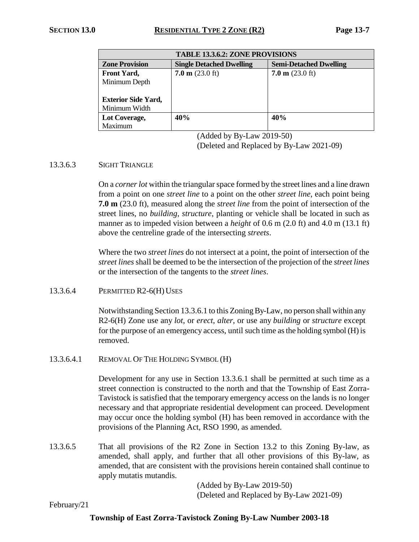| <b>TABLE 13.3.6.2: ZONE PROVISIONS</b> |                                 |                               |  |
|----------------------------------------|---------------------------------|-------------------------------|--|
| <b>Zone Provision</b>                  | <b>Single Detached Dwelling</b> | <b>Semi-Detached Dwelling</b> |  |
| <b>Front Yard,</b>                     | $7.0 \text{ m}$ (23.0 ft)       | $7.0 \text{ m}$ (23.0 ft)     |  |
| Minimum Depth                          |                                 |                               |  |
|                                        |                                 |                               |  |
| <b>Exterior Side Yard,</b>             |                                 |                               |  |
| Minimum Width                          |                                 |                               |  |
| Lot Coverage,                          | 40%                             | 40%                           |  |
| Maximum                                |                                 |                               |  |

(Added by By-Law 2019-50) (Deleted and Replaced by By-Law 2021-09)

#### 13.3.6.3 SIGHT TRIANGLE

On a *corner lot* within the triangular space formed by the street lines and a line drawn from a point on one *street line* to a point on the other *street line*, each point being **7.0 m** (23.0 ft), measured along the *street line* from the point of intersection of the street lines, no *building*, *structure*, planting or vehicle shall be located in such as manner as to impeded vision between a *height* of 0.6 m (2.0 ft) and 4.0 m (13.1 ft) above the centreline grade of the intersecting *streets*.

Where the two *street lines* do not intersect at a point, the point of intersection of the *street lines* shall be deemed to be the intersection of the projection of the *street lines* or the intersection of the tangents to the *street lines*.

#### 13.3.6.4 PERMITTED R2-6(H)USES

Notwithstanding Section 13.3.6.1 to this ZoningBy-Law, no person shall within any R2-6(H) Zone use any *lot*, or *erect*, *alter*, or use any *building* or *structure* except for the purpose of an emergency access, until such time as the holding symbol (H)is removed.

13.3.6.4.1 REMOVAL OFTHE HOLDING SYMBOL (H)

Development for any use in Section 13.3.6.1 shall be permitted at such time as a street connection is constructed to the north and that the Township of East Zorra-Tavistock is satisfied that the temporary emergency access on the lands is no longer necessary and that appropriate residential development can proceed. Development may occur once the holding symbol (H) has been removed in accordance with the provisions of the Planning Act, RSO 1990, as amended.

13.3.6.5 That all provisions of the R2 Zone in Section 13.2 to this Zoning By-law, as amended, shall apply, and further that all other provisions of this By-law, as amended, that are consistent with the provisions herein contained shall continue to apply mutatis mutandis.

> (Added by By-Law 2019-50) (Deleted and Replaced by By-Law 2021-09)

February/21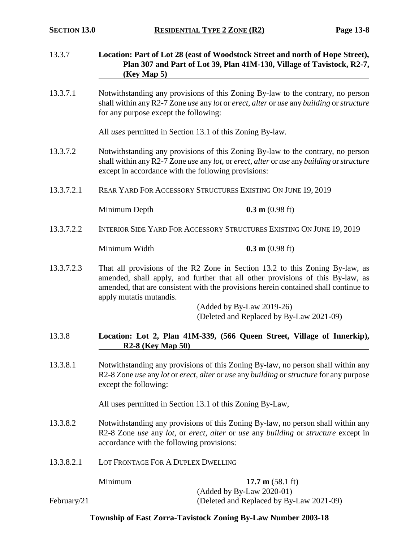| 13.3.7      | Location: Part of Lot 28 (east of Woodstock Street and north of Hope Street),<br>Plan 307 and Part of Lot 39, Plan 41M-130, Village of Tavistock, R2-7,<br>(Key Map 5)                                                                                                                                          |                                                                                                     |  |
|-------------|-----------------------------------------------------------------------------------------------------------------------------------------------------------------------------------------------------------------------------------------------------------------------------------------------------------------|-----------------------------------------------------------------------------------------------------|--|
| 13.3.7.1    | Notwithstanding any provisions of this Zoning By-law to the contrary, no person<br>shall within any R2-7 Zone use any lot or erect, alter or use any building or structure<br>for any purpose except the following:                                                                                             |                                                                                                     |  |
|             |                                                                                                                                                                                                                                                                                                                 | All uses permitted in Section 13.1 of this Zoning By-law.                                           |  |
| 13.3.7.2    | Notwithstanding any provisions of this Zoning By-law to the contrary, no person<br>shall within any R2-7 Zone use any lot, or erect, alter or use any building or structure<br>except in accordance with the following provisions:                                                                              |                                                                                                     |  |
| 13.3.7.2.1  |                                                                                                                                                                                                                                                                                                                 | REAR YARD FOR ACCESSORY STRUCTURES EXISTING ON JUNE 19, 2019                                        |  |
|             | Minimum Depth                                                                                                                                                                                                                                                                                                   | $0.3 \text{ m}$ (0.98 ft)                                                                           |  |
| 13.3.7.2.2  | INTERIOR SIDE YARD FOR ACCESSORY STRUCTURES EXISTING ON JUNE 19, 2019                                                                                                                                                                                                                                           |                                                                                                     |  |
|             | Minimum Width                                                                                                                                                                                                                                                                                                   | $0.3 \text{ m}$ (0.98 ft)                                                                           |  |
| 13.3.7.2.3  | That all provisions of the R2 Zone in Section 13.2 to this Zoning By-law, as<br>amended, shall apply, and further that all other provisions of this By-law, as<br>amended, that are consistent with the provisions herein contained shall continue to<br>apply mutatis mutandis.<br>$(Added by By-Law 2019-26)$ |                                                                                                     |  |
|             |                                                                                                                                                                                                                                                                                                                 | (Deleted and Replaced by By-Law 2021-09)                                                            |  |
| 13.3.8      | $R2-8$ (Key Map 50)                                                                                                                                                                                                                                                                                             | Location: Lot 2, Plan 41M-339, (566 Queen Street, Village of Innerkip),                             |  |
| 13.3.8.1    | Notwithstanding any provisions of this Zoning By-law, no person shall within any<br>R2-8 Zone use any lot or erect, alter or use any building or structure for any purpose<br>except the following:                                                                                                             |                                                                                                     |  |
|             |                                                                                                                                                                                                                                                                                                                 | All uses permitted in Section 13.1 of this Zoning By-Law,                                           |  |
| 13.3.8.2    | Notwithstanding any provisions of this Zoning By-law, no person shall within any<br>R2-8 Zone use any lot, or erect, alter or use any building or structure except in<br>accordance with the following provisions:                                                                                              |                                                                                                     |  |
| 13.3.8.2.1  | LOT FRONTAGE FOR A DUPLEX DWELLING                                                                                                                                                                                                                                                                              |                                                                                                     |  |
| February/21 | Minimum                                                                                                                                                                                                                                                                                                         | 17.7 m $(58.1 \text{ ft})$<br>(Added by By-Law 2020-01)<br>(Deleted and Replaced by By-Law 2021-09) |  |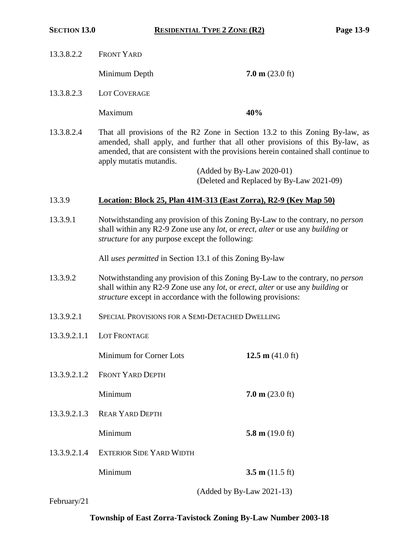| 13.3.8.2.2   | <b>FRONT YARD</b>                                                                                                                                                                                                                                                                |                                                                       |
|--------------|----------------------------------------------------------------------------------------------------------------------------------------------------------------------------------------------------------------------------------------------------------------------------------|-----------------------------------------------------------------------|
|              | Minimum Depth                                                                                                                                                                                                                                                                    | $7.0 \text{ m}$ (23.0 ft)                                             |
| 13.3.8.2.3   | LOT COVERAGE                                                                                                                                                                                                                                                                     |                                                                       |
|              | Maximum                                                                                                                                                                                                                                                                          | 40%                                                                   |
| 13.3.8.2.4   | That all provisions of the R2 Zone in Section 13.2 to this Zoning By-law, as<br>amended, shall apply, and further that all other provisions of this By-law, as<br>amended, that are consistent with the provisions herein contained shall continue to<br>apply mutatis mutandis. | (Added by By-Law 2020-01)<br>(Deleted and Replaced by By-Law 2021-09) |
| 13.3.9       | Location: Block 25, Plan 41M-313 (East Zorra), R2-9 (Key Map 50)                                                                                                                                                                                                                 |                                                                       |
| 13.3.9.1     | Notwithstanding any provision of this Zoning By-Law to the contrary, no <i>person</i><br>shall within any R2-9 Zone use any lot, or erect, alter or use any building or<br><i>structure</i> for any purpose except the following:                                                |                                                                       |
|              | All uses permitted in Section 13.1 of this Zoning By-law                                                                                                                                                                                                                         |                                                                       |
| 13.3.9.2     | Notwithstanding any provision of this Zoning By-Law to the contrary, no <i>person</i><br>shall within any R2-9 Zone use any lot, or erect, alter or use any building or<br>structure except in accordance with the following provisions:                                         |                                                                       |
| 13.3.9.2.1   | SPECIAL PROVISIONS FOR A SEMI-DETACHED DWELLING                                                                                                                                                                                                                                  |                                                                       |
| 13.3.9.2.1.1 | LOT FRONTAGE                                                                                                                                                                                                                                                                     |                                                                       |
|              | Minimum for Corner Lots                                                                                                                                                                                                                                                          | 12.5 m $(41.0 \text{ ft})$                                            |
| 13.3.9.2.1.2 | <b>FRONT YARD DEPTH</b>                                                                                                                                                                                                                                                          |                                                                       |
|              | Minimum                                                                                                                                                                                                                                                                          | $7.0 \text{ m}$ (23.0 ft)                                             |
| 13.3.9.2.1.3 | <b>REAR YARD DEPTH</b>                                                                                                                                                                                                                                                           |                                                                       |
|              | Minimum                                                                                                                                                                                                                                                                          | 5.8 m $(19.0 \text{ ft})$                                             |
| 13.3.9.2.1.4 | <b>EXTERIOR SIDE YARD WIDTH</b>                                                                                                                                                                                                                                                  |                                                                       |
|              | Minimum                                                                                                                                                                                                                                                                          | 3.5 m $(11.5 \text{ ft})$                                             |
|              |                                                                                                                                                                                                                                                                                  | (Added by By-Law 2021-13)                                             |

February/21